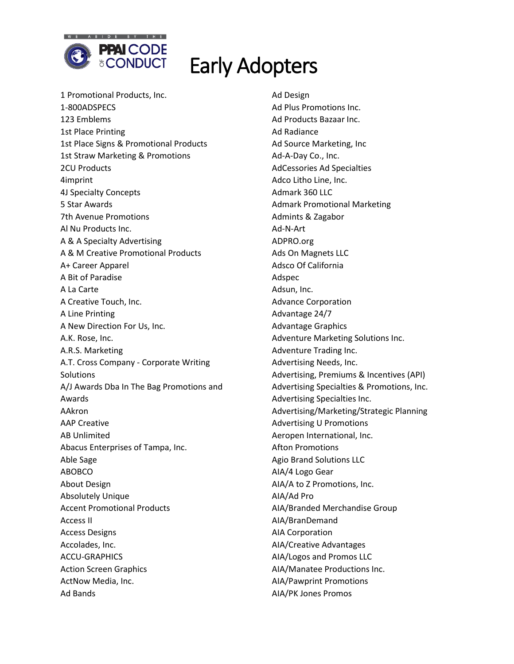

1 Promotional Products, Inc. 1-800ADSPECS 123 Emblems 1st Place Printing 1st Place Signs & Promotional Products 1st Straw Marketing & Promotions 2CU Products 4imprint 4J Specialty Concepts 5 Star Awards 7th Avenue Promotions Al Nu Products Inc. A & A Specialty Advertising A & M Creative Promotional Products A+ Career Apparel A Bit of Paradise A La Carte A Creative Touch, Inc. A Line Printing A New Direction For Us, Inc. A.K. Rose, Inc. A.R.S. Marketing A.T. Cross Company - Corporate Writing **Solutions** A/J Awards Dba In The Bag Promotions and Awards AAkron AAP Creative AB Unlimited Abacus Enterprises of Tampa, Inc. Able Sage ABOBCO About Design Absolutely Unique Accent Promotional Products Access II Access Designs Accolades, Inc. ACCU-GRAPHICS Action Screen Graphics ActNow Media, Inc. Ad Bands

Ad Design Ad Plus Promotions Inc. Ad Products Bazaar Inc. Ad Radiance Ad Source Marketing, Inc Ad-A-Day Co., Inc. AdCessories Ad Specialties Adco Litho Line, Inc. Admark 360 LLC Admark Promotional Marketing Admints & Zagabor Ad-N-Art ADPRO.org Ads On Magnets LLC Adsco Of California Adspec Adsun, Inc. Advance Corporation Advantage 24/7 Advantage Graphics Adventure Marketing Solutions Inc. Adventure Trading Inc. Advertising Needs, Inc. Advertising, Premiums & Incentives (API) Advertising Specialties & Promotions, Inc. Advertising Specialties Inc. Advertising/Marketing/Strategic Planning Advertising U Promotions Aeropen International, Inc. Afton Promotions Agio Brand Solutions LLC AIA/4 Logo Gear AIA/A to Z Promotions, Inc. AIA/Ad Pro AIA/Branded Merchandise Group AIA/BranDemand AIA Corporation AIA/Creative Advantages AIA/Logos and Promos LLC AIA/Manatee Productions Inc. AIA/Pawprint Promotions AIA/PK Jones Promos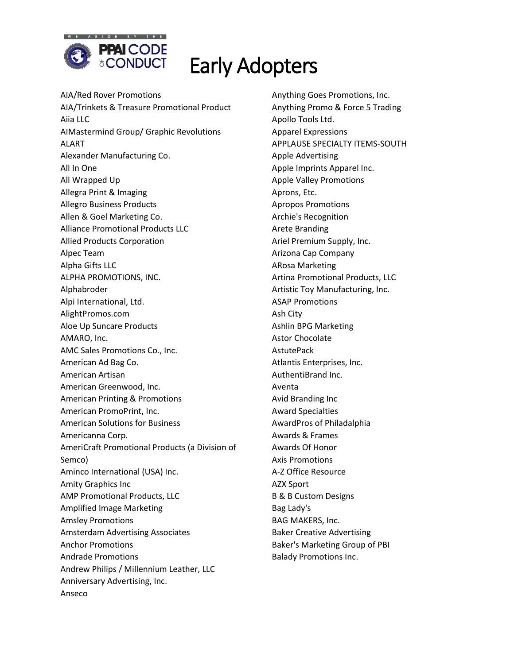

AIA/Red Rover Promotions AIA/Trinkets & Treasure Promotional Product Aiia LLC AIMastermind Group/ Graphic Revolutions ALART Alexander Manufacturing Co. All In One All Wrapped Up Allegra Print & Imaging Allegro Business Products Allen & Goel Marketing Co. Alliance Promotional Products LLC Allied Products Corporation Alpec Team Alpha Gifts LLC ALPHA PROMOTIONS, INC. Alphabroder Alpi International, Ltd. AlightPromos.com Aloe Up Suncare Products AMARO, Inc. AMC Sales Promotions Co., Inc. American Ad Bag Co. American Artisan American Greenwood, Inc. American Printing & Promotions American PromoPrint, Inc. American Solutions for Business Americanna Corp. AmeriCraft Promotional Products (a Division of Semco) Aminco International (USA) Inc. Amity Graphics Inc AMP Promotional Products, LLC Amplified Image Marketing Amsley Promotions Amsterdam Advertising Associates Anchor Promotions Andrade Promotions Andrew Philips / Millennium Leather, LLC Anniversary Advertising, Inc. Anseco

Anything Goes Promotions, Inc. Anything Promo & Force 5 Trading Apollo Tools Ltd. Apparel Expressions APPLAUSE SPECIALTY ITEMS-SOUTH Apple Advertising Apple Imprints Apparel Inc. Apple Valley Promotions Aprons, Etc. Apropos Promotions Archie's Recognition Arete Branding Ariel Premium Supply, Inc. Arizona Cap Company ARosa Marketing Artina Promotional Products, LLC Artistic Toy Manufacturing, Inc. ASAP Promotions Ash City Ashlin BPG Marketing Astor Chocolate **AstutePack** Atlantis Enterprises, Inc. AuthentiBrand Inc. Aventa Avid Branding Inc Award Specialties AwardPros of Philadalphia Awards & Frames Awards Of Honor Axis Promotions A-Z Office Resource AZX Sport B & B Custom Designs Bag Lady's BAG MAKERS, Inc. Baker Creative Advertising Baker's Marketing Group of PBI Balady Promotions Inc.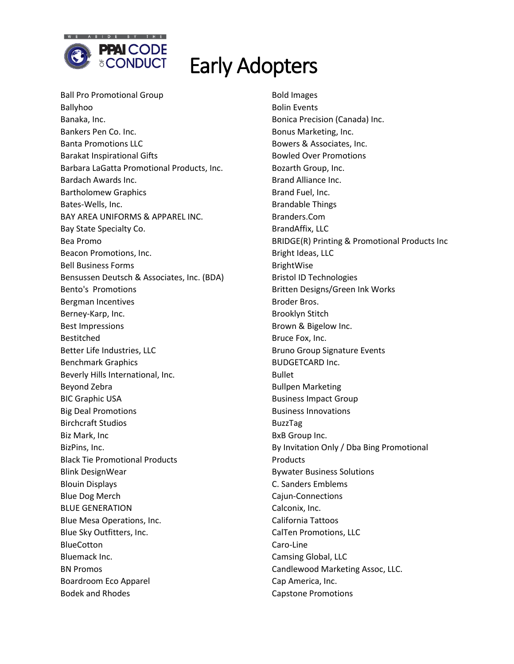

Ball Pro Promotional Group Ballyhoo Banaka, Inc. Bankers Pen Co. Inc. Banta Promotions LLC Barakat Inspirational Gifts Barbara LaGatta Promotional Products, Inc. Bardach Awards Inc. Bartholomew Graphics Bates-Wells, Inc. BAY AREA UNIFORMS & APPAREL INC. Bay State Specialty Co. Bea Promo Beacon Promotions, Inc. Bell Business Forms Bensussen Deutsch & Associates, Inc. (BDA) Bento's Promotions Bergman Incentives Berney-Karp, Inc. Best Impressions Bestitched Better Life Industries, LLC Benchmark Graphics Beverly Hills International, Inc. Beyond Zebra BIC Graphic USA Big Deal Promotions Birchcraft Studios Biz Mark, Inc BizPins, Inc. Black Tie Promotional Products Blink DesignWear Blouin Displays Blue Dog Merch BLUE GENERATION Blue Mesa Operations, Inc. Blue Sky Outfitters, Inc. BlueCotton Bluemack Inc. BN Promos Boardroom Eco Apparel Bodek and Rhodes

Bold Images Bolin Events Bonica Precision (Canada) Inc. Bonus Marketing, Inc. Bowers & Associates, Inc. Bowled Over Promotions Bozarth Group, Inc. Brand Alliance Inc. Brand Fuel, Inc. Brandable Things Branders.Com BrandAffix, LLC BRIDGE(R) Printing & Promotional Products Inc Bright Ideas, LLC BrightWise Bristol ID Technologies Britten Designs/Green Ink Works Broder Bros. Brooklyn Stitch Brown & Bigelow Inc. Bruce Fox, Inc. Bruno Group Signature Events BUDGETCARD Inc. Bullet Bullpen Marketing Business Impact Group Business Innovations BuzzTag BxB Group Inc. By Invitation Only / Dba Bing Promotional Products Bywater Business Solutions C. Sanders Emblems Cajun-Connections Calconix, Inc. California Tattoos CalTen Promotions, LLC Caro-Line Camsing Global, LLC Candlewood Marketing Assoc, LLC. Cap America, Inc. Capstone Promotions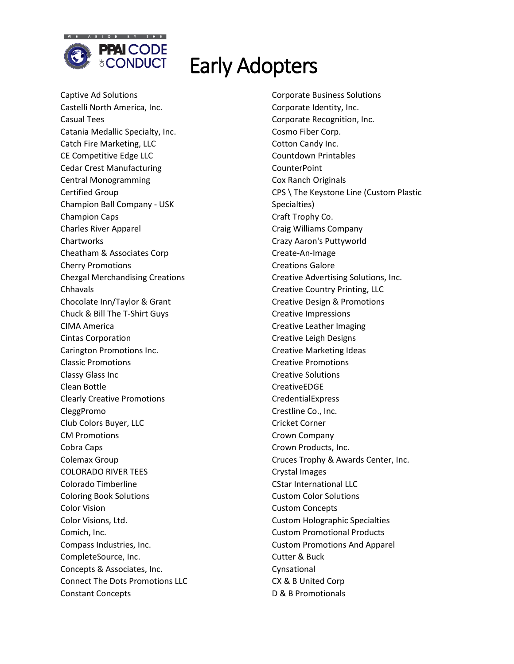

Captive Ad Solutions Castelli North America, Inc. Casual Tees Catania Medallic Specialty, Inc. Catch Fire Marketing, LLC CE Competitive Edge LLC Cedar Crest Manufacturing Central Monogramming Certified Group Champion Ball Company - USK Champion Caps Charles River Apparel **Chartworks** Cheatham & Associates Corp Cherry Promotions Chezgal Merchandising Creations Chhavals Chocolate Inn/Taylor & Grant Chuck & Bill The T-Shirt Guys CIMA America Cintas Corporation Carington Promotions Inc. Classic Promotions Classy Glass Inc Clean Bottle Clearly Creative Promotions CleggPromo Club Colors Buyer, LLC CM Promotions Cobra Caps Colemax Group COLORADO RIVER TEES Colorado Timberline Coloring Book Solutions Color Vision Color Visions, Ltd. Comich, Inc. Compass Industries, Inc. CompleteSource, Inc. Concepts & Associates, Inc. Connect The Dots Promotions LLC Constant Concepts

Corporate Business Solutions Corporate Identity, Inc. Corporate Recognition, Inc. Cosmo Fiber Corp. Cotton Candy Inc. Countdown Printables CounterPoint Cox Ranch Originals CPS \ The Keystone Line (Custom Plastic Specialties) Craft Trophy Co. Craig Williams Company Crazy Aaron's Puttyworld Create-An-Image Creations Galore Creative Advertising Solutions, Inc. Creative Country Printing, LLC Creative Design & Promotions Creative Impressions Creative Leather Imaging Creative Leigh Designs Creative Marketing Ideas Creative Promotions Creative Solutions CreativeEDGE **CredentialExpress** Crestline Co., Inc. Cricket Corner Crown Company Crown Products, Inc. Cruces Trophy & Awards Center, Inc. Crystal Images CStar International LLC Custom Color Solutions Custom Concepts Custom Holographic Specialties Custom Promotional Products Custom Promotions And Apparel Cutter & Buck Cynsational CX & B United Corp D & B Promotionals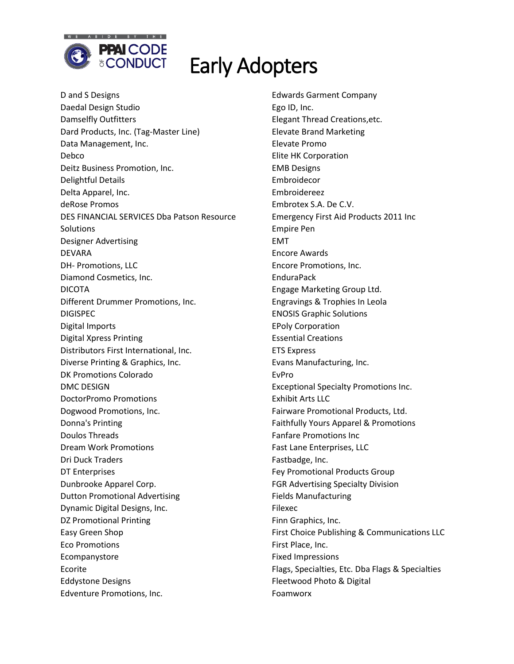

D and S Designs Daedal Design Studio Damselfly Outfitters Dard Products, Inc. (Tag-Master Line) Data Management, Inc. Debco Deitz Business Promotion, Inc. Delightful Details Delta Apparel, Inc. deRose Promos DES FINANCIAL SERVICES Dba Patson Resource **Solutions** Designer Advertising DEVARA DH- Promotions, LLC Diamond Cosmetics, Inc. DICOTA Different Drummer Promotions, Inc. DIGISPEC Digital Imports Digital Xpress Printing Distributors First International, Inc. Diverse Printing & Graphics, Inc. DK Promotions Colorado DMC DESIGN DoctorPromo Promotions Dogwood Promotions, Inc. Donna's Printing Doulos Threads Dream Work Promotions Dri Duck Traders DT Enterprises Dunbrooke Apparel Corp. Dutton Promotional Advertising Dynamic Digital Designs, Inc. DZ Promotional Printing Easy Green Shop Eco Promotions Ecompanystore Ecorite Eddystone Designs Edventure Promotions, Inc.

Edwards Garment Company Ego ID, Inc. Elegant Thread Creations,etc. Elevate Brand Marketing Elevate Promo Elite HK Corporation EMB Designs Embroidecor Embroidereez Embrotex S.A. De C.V. Emergency First Aid Products 2011 Inc Empire Pen EMT Encore Awards Encore Promotions, Inc. EnduraPack Engage Marketing Group Ltd. Engravings & Trophies In Leola ENOSIS Graphic Solutions EPoly Corporation Essential Creations ETS Express Evans Manufacturing, Inc. EvPro Exceptional Specialty Promotions Inc. Exhibit Arts LLC Fairware Promotional Products, Ltd. Faithfully Yours Apparel & Promotions Fanfare Promotions Inc Fast Lane Enterprises, LLC Fastbadge, Inc. Fey Promotional Products Group FGR Advertising Specialty Division Fields Manufacturing Filexec Finn Graphics, Inc. First Choice Publishing & Communications LLC First Place, Inc. Fixed Impressions Flags, Specialties, Etc. Dba Flags & Specialties Fleetwood Photo & Digital Foamworx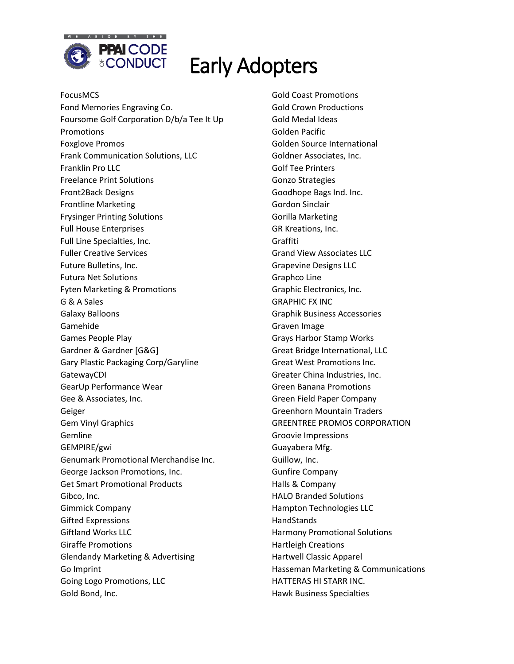

FocusMCS Fond Memories Engraving Co. Foursome Golf Corporation D/b/a Tee It Up Promotions Foxglove Promos Frank Communication Solutions, LLC Franklin Pro LLC Freelance Print Solutions Front2Back Designs Frontline Marketing Frysinger Printing Solutions Full House Enterprises Full Line Specialties, Inc. Fuller Creative Services Future Bulletins, Inc. Futura Net Solutions Fyten Marketing & Promotions G & A Sales Galaxy Balloons Gamehide Games People Play Gardner & Gardner [G&G] Gary Plastic Packaging Corp/Garyline GatewayCDI GearUp Performance Wear Gee & Associates, Inc. Geiger Gem Vinyl Graphics Gemline GEMPIRE/gwi Genumark Promotional Merchandise Inc. George Jackson Promotions, Inc. Get Smart Promotional Products Gibco, Inc. Gimmick Company Gifted Expressions Giftland Works LLC Giraffe Promotions Glendandy Marketing & Advertising Go Imprint Going Logo Promotions, LLC Gold Bond, Inc.

Gold Coast Promotions Gold Crown Productions Gold Medal Ideas Golden Pacific Golden Source International Goldner Associates, Inc. Golf Tee Printers Gonzo Strategies Goodhope Bags Ind. Inc. Gordon Sinclair Gorilla Marketing GR Kreations, Inc. Graffiti Grand View Associates LLC Grapevine Designs LLC Graphco Line Graphic Electronics, Inc. GRAPHIC FX INC Graphik Business Accessories Graven Image Grays Harbor Stamp Works Great Bridge International, LLC Great West Promotions Inc. Greater China Industries, Inc. Green Banana Promotions Green Field Paper Company Greenhorn Mountain Traders GREENTREE PROMOS CORPORATION Groovie Impressions Guayabera Mfg. Guillow, Inc. Gunfire Company Halls & Company HALO Branded Solutions Hampton Technologies LLC **HandStands** Harmony Promotional Solutions Hartleigh Creations Hartwell Classic Apparel Hasseman Marketing & Communications HATTERAS HI STARR INC. Hawk Business Specialties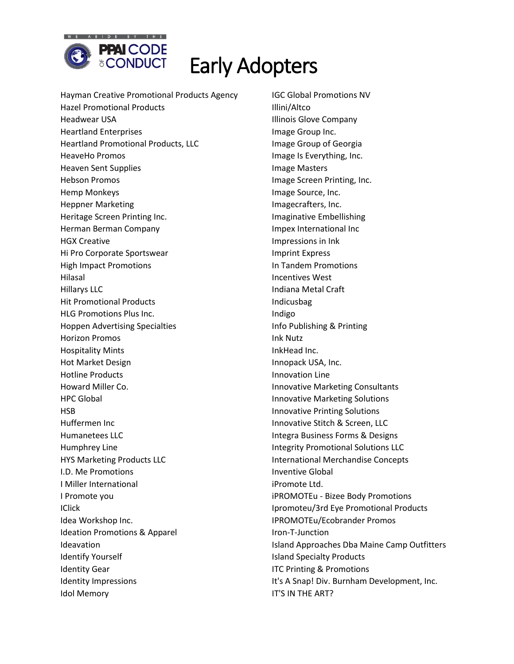

Hayman Creative Promotional Products Agency Hazel Promotional Products Headwear USA Heartland Enterprises Heartland Promotional Products, LLC HeaveHo Promos Heaven Sent Supplies Hebson Promos Hemp Monkeys Heppner Marketing Heritage Screen Printing Inc. Herman Berman Company HGX Creative Hi Pro Corporate Sportswear High Impact Promotions Hilasal Hillarys LLC Hit Promotional Products HLG Promotions Plus Inc. Hoppen Advertising Specialties Horizon Promos Hospitality Mints Hot Market Design Hotline Products Howard Miller Co. HPC Global HSB Huffermen Inc Humanetees LLC Humphrey Line HYS Marketing Products LLC I.D. Me Promotions I Miller International I Promote you IClick Idea Workshop Inc. Ideation Promotions & Apparel Ideavation Identify Yourself Identity Gear Identity Impressions Idol Memory

IGC Global Promotions NV Illini/Altco Illinois Glove Company Image Group Inc. Image Group of Georgia Image Is Everything, Inc. Image Masters Image Screen Printing, Inc. Image Source, Inc. Imagecrafters, Inc. Imaginative Embellishing Impex International Inc Impressions in Ink Imprint Express In Tandem Promotions Incentives West Indiana Metal Craft Indicusbag Indigo Info Publishing & Printing Ink Nutz InkHead Inc. Innopack USA, Inc. Innovation Line Innovative Marketing Consultants Innovative Marketing Solutions Innovative Printing Solutions Innovative Stitch & Screen, LLC Integra Business Forms & Designs Integrity Promotional Solutions LLC International Merchandise Concepts Inventive Global iPromote Ltd. iPROMOTEu - Bizee Body Promotions Ipromoteu/3rd Eye Promotional Products IPROMOTEu/Ecobrander Promos Iron-T-Junction Island Approaches Dba Maine Camp Outfitters Island Specialty Products ITC Printing & Promotions It's A Snap! Div. Burnham Development, Inc. IT'S IN THE ART?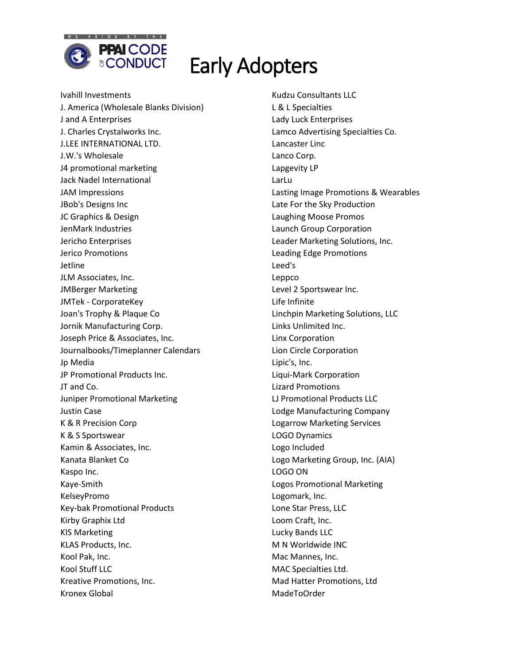

Ivahill Investments J. America (Wholesale Blanks Division) J and A Enterprises J. Charles Crystalworks Inc. J.LEE INTERNATIONAL LTD. J.W.'s Wholesale J4 promotional marketing Jack Nadel International JAM Impressions JBob's Designs Inc JC Graphics & Design JenMark Industries Jericho Enterprises Jerico Promotions Jetline JLM Associates, Inc. JMBerger Marketing JMTek - CorporateKey Joan's Trophy & Plaque Co Jornik Manufacturing Corp. Joseph Price & Associates, Inc. Journalbooks/Timeplanner Calendars Jp Media JP Promotional Products Inc. JT and Co. Juniper Promotional Marketing Justin Case K & R Precision Corp K & S Sportswear Kamin & Associates, Inc. Kanata Blanket Co Kaspo Inc. Kaye-Smith KelseyPromo Key-bak Promotional Products Kirby Graphix Ltd KIS Marketing KLAS Products, Inc. Kool Pak, Inc. Kool Stuff LLC Kreative Promotions, Inc. Kronex Global

Kudzu Consultants LLC L & L Specialties Lady Luck Enterprises Lamco Advertising Specialties Co. Lancaster Linc Lanco Corp. Lapgevity LP LarLu Lasting Image Promotions & Wearables Late For the Sky Production Laughing Moose Promos Launch Group Corporation Leader Marketing Solutions, Inc. Leading Edge Promotions Leed's Leppco Level 2 Sportswear Inc. Life Infinite Linchpin Marketing Solutions, LLC Links Unlimited Inc. Linx Corporation Lion Circle Corporation Lipic's, Inc. Liqui-Mark Corporation Lizard Promotions LJ Promotional Products LLC Lodge Manufacturing Company Logarrow Marketing Services LOGO Dynamics Logo Included Logo Marketing Group, Inc. (AIA) LOGO ON Logos Promotional Marketing Logomark, Inc. Lone Star Press, LLC Loom Craft, Inc. Lucky Bands LLC M N Worldwide INC Mac Mannes, Inc. MAC Specialties Ltd. Mad Hatter Promotions, Ltd MadeToOrder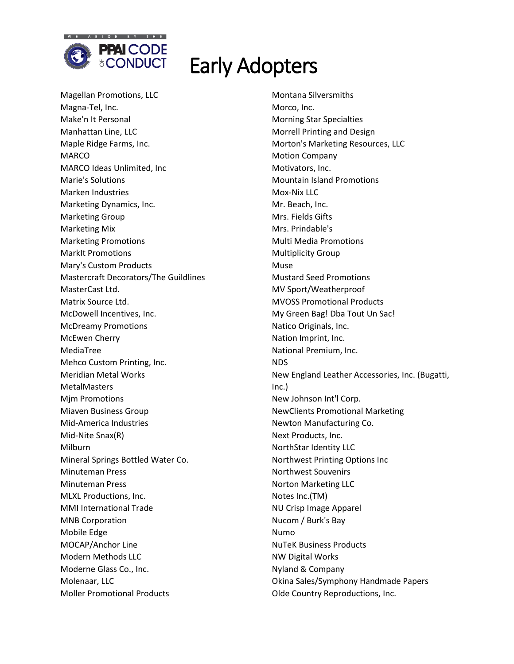

Magellan Promotions, LLC Magna-Tel, Inc. Make'n It Personal Manhattan Line, LLC Maple Ridge Farms, Inc. MARCO MARCO Ideas Unlimited, Inc Marie's Solutions Marken Industries Marketing Dynamics, Inc. Marketing Group Marketing Mix Marketing Promotions MarkIt Promotions Mary's Custom Products Mastercraft Decorators/The Guildlines MasterCast Ltd. Matrix Source Ltd. McDowell Incentives, Inc. McDreamy Promotions McEwen Cherry MediaTree Mehco Custom Printing, Inc. Meridian Metal Works **MetalMasters** Mjm Promotions Miaven Business Group Mid-America Industries Mid-Nite Snax(R) Milburn Mineral Springs Bottled Water Co. Minuteman Press Minuteman Press MLXL Productions, Inc. MMI International Trade MNB Corporation Mobile Edge MOCAP/Anchor Line Modern Methods LLC Moderne Glass Co., Inc. Molenaar, LLC Moller Promotional Products

Montana Silversmiths Morco, Inc. Morning Star Specialties Morrell Printing and Design Morton's Marketing Resources, LLC Motion Company Motivators, Inc. Mountain Island Promotions Mox-Nix LLC Mr. Beach, Inc. Mrs. Fields Gifts Mrs. Prindable's Multi Media Promotions Multiplicity Group Muse Mustard Seed Promotions MV Sport/Weatherproof MVOSS Promotional Products My Green Bag! Dba Tout Un Sac! Natico Originals, Inc. Nation Imprint, Inc. National Premium, Inc. NDS New England Leather Accessories, Inc. (Bugatti, Inc.) New Johnson Int'l Corp. NewClients Promotional Marketing Newton Manufacturing Co. Next Products, Inc. NorthStar Identity LLC Northwest Printing Options Inc Northwest Souvenirs Norton Marketing LLC Notes Inc.(TM) NU Crisp Image Apparel Nucom / Burk's Bay Numo NuTeK Business Products NW Digital Works Nyland & Company Okina Sales/Symphony Handmade Papers Olde Country Reproductions, Inc.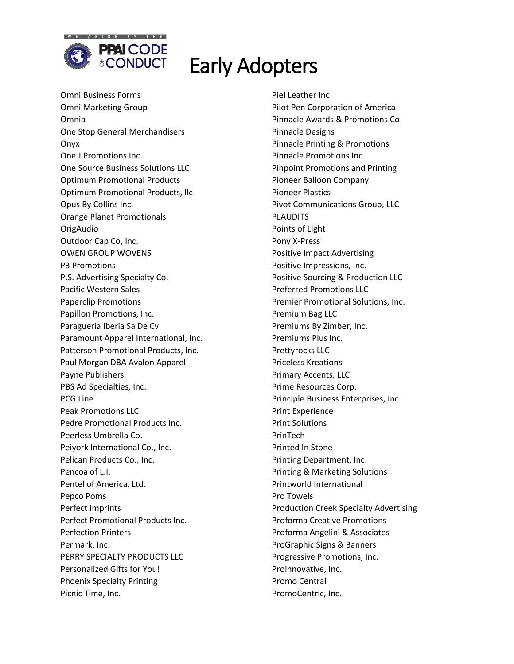

Omni Business Forms Omni Marketing Group Omnia One Stop General Merchandisers Onyx One J Promotions Inc One Source Business Solutions LLC Optimum Promotional Products Optimum Promotional Products, llc Opus By Collins Inc. Orange Planet Promotionals OrigAudio Outdoor Cap Co, Inc. OWEN GROUP WOVENS P3 Promotions P.S. Advertising Specialty Co. Pacific Western Sales Paperclip Promotions Papillon Promotions, Inc. Paragueria Iberia Sa De Cv Paramount Apparel International, Inc. Patterson Promotional Products, Inc. Paul Morgan DBA Avalon Apparel Payne Publishers PBS Ad Specialties, Inc. PCG Line Peak Promotions LLC Pedre Promotional Products Inc. Peerless Umbrella Co. Peiyork International Co., Inc. Pelican Products Co., Inc. Pencoa of L.I. Pentel of America, Ltd. Pepco Poms Perfect Imprints Perfect Promotional Products Inc. Perfection Printers Permark, Inc. PERRY SPECIALTY PRODUCTS LLC Personalized Gifts for You! Phoenix Specialty Printing Picnic Time, Inc.

Piel Leather Inc Pilot Pen Corporation of America Pinnacle Awards & Promotions Co Pinnacle Designs Pinnacle Printing & Promotions Pinnacle Promotions Inc Pinpoint Promotions and Printing Pioneer Balloon Company Pioneer Plastics Pivot Communications Group, LLC PLAUDITS Points of Light Pony X-Press Positive Impact Advertising Positive Impressions, Inc. Positive Sourcing & Production LLC Preferred Promotions LLC Premier Promotional Solutions, Inc. Premium Bag LLC Premiums By Zimber, Inc. Premiums Plus Inc. Prettyrocks LLC Priceless Kreations Primary Accents, LLC Prime Resources Corp. Principle Business Enterprises, Inc Print Experience Print Solutions PrinTech Printed In Stone Printing Department, Inc. Printing & Marketing Solutions Printworld International Pro Towels Production Creek Specialty Advertising Proforma Creative Promotions Proforma Angelini & Associates ProGraphic Signs & Banners Progressive Promotions, Inc. Proinnovative, Inc. Promo Central PromoCentric, Inc.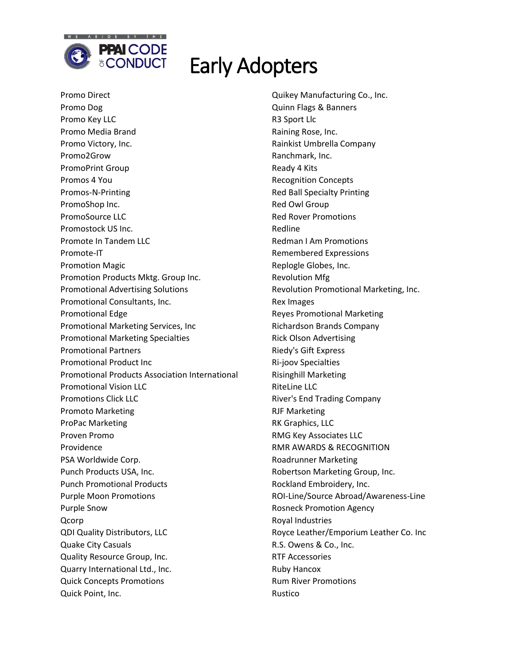

Promo Direct Promo Dog Promo Key LLC Promo Media Brand Promo Victory, Inc. Promo2Grow PromoPrint Group Promos 4 You Promos-N-Printing PromoShop Inc. PromoSource LLC Promostock US Inc. Promote In Tandem LLC Promote-IT Promotion Magic Promotion Products Mktg. Group Inc. Promotional Advertising Solutions Promotional Consultants, Inc. Promotional Edge Promotional Marketing Services, Inc Promotional Marketing Specialties Promotional Partners Promotional Product Inc Promotional Products Association International Promotional Vision LLC Promotions Click LLC Promoto Marketing ProPac Marketing Proven Promo Providence PSA Worldwide Corp. Punch Products USA, Inc. Punch Promotional Products Purple Moon Promotions Purple Snow Qcorp QDI Quality Distributors, LLC Quake City Casuals Quality Resource Group, Inc. Quarry International Ltd., Inc. Quick Concepts Promotions Quick Point, Inc.

Quikey Manufacturing Co., Inc. Quinn Flags & Banners R3 Sport Llc Raining Rose, Inc. Rainkist Umbrella Company Ranchmark, Inc. Ready 4 Kits Recognition Concepts Red Ball Specialty Printing Red Owl Group Red Rover Promotions Redline Redman I Am Promotions Remembered Expressions Replogle Globes, Inc. Revolution Mfg Revolution Promotional Marketing, Inc. Rex Images Reyes Promotional Marketing Richardson Brands Company Rick Olson Advertising Riedy's Gift Express Ri-joov Specialties Risinghill Marketing RiteLine LLC River's End Trading Company RJF Marketing RK Graphics, LLC RMG Key Associates LLC RMR AWARDS & RECOGNITION Roadrunner Marketing Robertson Marketing Group, Inc. Rockland Embroidery, Inc. ROI-Line/Source Abroad/Awareness-Line Rosneck Promotion Agency Royal Industries Royce Leather/Emporium Leather Co. Inc R.S. Owens & Co., Inc. RTF Accessories Ruby Hancox Rum River Promotions Rustico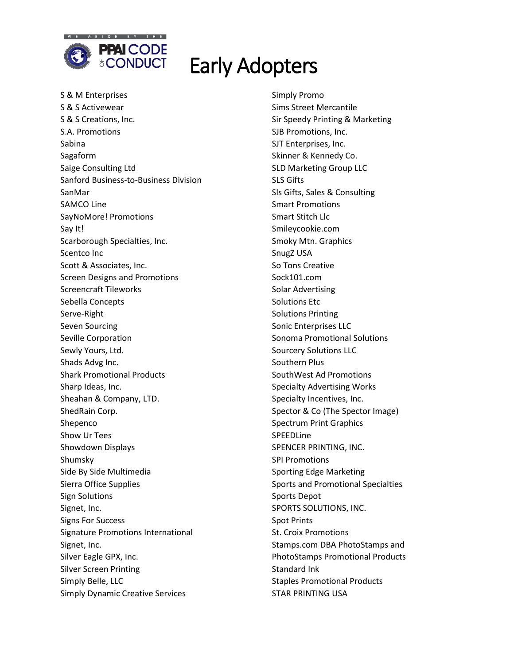

S & M Enterprises S & S Activewear S & S Creations, Inc. S.A. Promotions Sabina Sagaform Saige Consulting Ltd Sanford Business-to-Business Division SanMar SAMCO Line SayNoMore! Promotions Say It! Scarborough Specialties, Inc. Scentco Inc Scott & Associates, Inc. Screen Designs and Promotions Screencraft Tileworks Sebella Concepts Serve-Right Seven Sourcing Seville Corporation Sewly Yours, Ltd. Shads Advg Inc. Shark Promotional Products Sharp Ideas, Inc. Sheahan & Company, LTD. ShedRain Corp. Shepenco Show Ur Tees Showdown Displays Shumsky Side By Side Multimedia Sierra Office Supplies Sign Solutions Signet, Inc. Signs For Success Signature Promotions International Signet, Inc. Silver Eagle GPX, Inc. Silver Screen Printing Simply Belle, LLC Simply Dynamic Creative Services

Simply Promo Sims Street Mercantile Sir Speedy Printing & Marketing SJB Promotions, Inc. SJT Enterprises, Inc. Skinner & Kennedy Co. SLD Marketing Group LLC SLS Gifts Sls Gifts, Sales & Consulting Smart Promotions Smart Stitch Llc Smileycookie.com Smoky Mtn. Graphics SnugZ USA So Tons Creative Sock101.com Solar Advertising Solutions Etc Solutions Printing Sonic Enterprises LLC Sonoma Promotional Solutions Sourcery Solutions LLC Southern Plus SouthWest Ad Promotions Specialty Advertising Works Specialty Incentives, Inc. Spector & Co (The Spector Image) Spectrum Print Graphics SPEEDLine SPENCER PRINTING, INC. SPI Promotions Sporting Edge Marketing Sports and Promotional Specialties Sports Depot SPORTS SOLUTIONS, INC. Spot Prints St. Croix Promotions Stamps.com DBA PhotoStamps and PhotoStamps Promotional Products Standard Ink Staples Promotional Products STAR PRINTING USA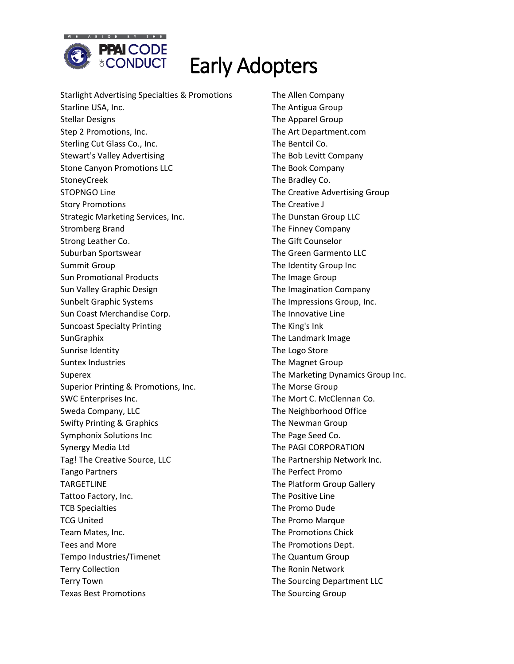

Starlight Advertising Specialties & Promotions Starline USA, Inc. Stellar Designs Step 2 Promotions, Inc. Sterling Cut Glass Co., Inc. Stewart's Valley Advertising Stone Canyon Promotions LLC StoneyCreek STOPNGO Line Story Promotions Strategic Marketing Services, Inc. Stromberg Brand Strong Leather Co. Suburban Sportswear Summit Group Sun Promotional Products Sun Valley Graphic Design Sunbelt Graphic Systems Sun Coast Merchandise Corp. Suncoast Specialty Printing **SunGraphix** Sunrise Identity Suntex Industries Superex Superior Printing & Promotions, Inc. SWC Enterprises Inc. Sweda Company, LLC Swifty Printing & Graphics Symphonix Solutions Inc Synergy Media Ltd Tag! The Creative Source, LLC Tango Partners TARGETLINE Tattoo Factory, Inc. TCB Specialties TCG United Team Mates, Inc. Tees and More Tempo Industries/Timenet Terry Collection Terry Town Texas Best Promotions

The Allen Company The Antigua Group The Apparel Group The Art Department.com The Bentcil Co. The Bob Levitt Company The Book Company The Bradley Co. The Creative Advertising Group The Creative J The Dunstan Group LLC The Finney Company The Gift Counselor The Green Garmento LLC The Identity Group Inc The Image Group The Imagination Company The Impressions Group, Inc. The Innovative Line The King's Ink The Landmark Image The Logo Store The Magnet Group The Marketing Dynamics Group Inc. The Morse Group The Mort C. McClennan Co. The Neighborhood Office The Newman Group The Page Seed Co. The PAGI CORPORATION The Partnership Network Inc. The Perfect Promo The Platform Group Gallery The Positive Line The Promo Dude The Promo Marque The Promotions Chick The Promotions Dept. The Quantum Group The Ronin Network The Sourcing Department LLC The Sourcing Group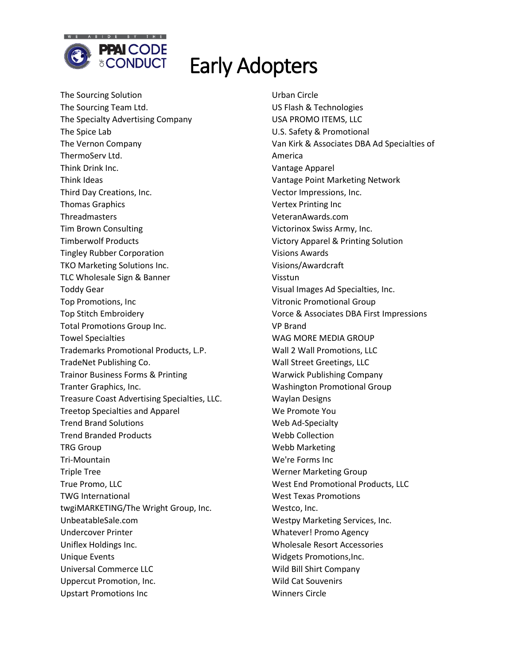

The Sourcing Solution The Sourcing Team Ltd. The Specialty Advertising Company The Spice Lab The Vernon Company ThermoServ Ltd. Think Drink Inc. Think Ideas Third Day Creations, Inc. Thomas Graphics **Threadmasters** Tim Brown Consulting Timberwolf Products Tingley Rubber Corporation TKO Marketing Solutions Inc. TLC Wholesale Sign & Banner Toddy Gear Top Promotions, Inc Top Stitch Embroidery Total Promotions Group Inc. Towel Specialties Trademarks Promotional Products, L.P. TradeNet Publishing Co. Trainor Business Forms & Printing Tranter Graphics, Inc. Treasure Coast Advertising Specialties, LLC. Treetop Specialties and Apparel Trend Brand Solutions Trend Branded Products TRG Group Tri-Mountain Triple Tree True Promo, LLC TWG International twgiMARKETING/The Wright Group, Inc. UnbeatableSale.com Undercover Printer Uniflex Holdings Inc. Unique Events Universal Commerce LLC Uppercut Promotion, Inc. Upstart Promotions Inc

Urban Circle US Flash & Technologies USA PROMO ITEMS, LLC U.S. Safety & Promotional Van Kirk & Associates DBA Ad Specialties of America Vantage Apparel Vantage Point Marketing Network Vector Impressions, Inc. Vertex Printing Inc VeteranAwards.com Victorinox Swiss Army, Inc. Victory Apparel & Printing Solution Visions Awards Visions/Awardcraft Visstun Visual Images Ad Specialties, Inc. Vitronic Promotional Group Vorce & Associates DBA First Impressions VP Brand WAG MORE MEDIA GROUP Wall 2 Wall Promotions, LLC Wall Street Greetings, LLC Warwick Publishing Company Washington Promotional Group Waylan Designs We Promote You Web Ad-Specialty Webb Collection Webb Marketing We're Forms Inc Werner Marketing Group West End Promotional Products, LLC West Texas Promotions Westco, Inc. Westpy Marketing Services, Inc. Whatever! Promo Agency Wholesale Resort Accessories Widgets Promotions,Inc. Wild Bill Shirt Company Wild Cat Souvenirs Winners Circle